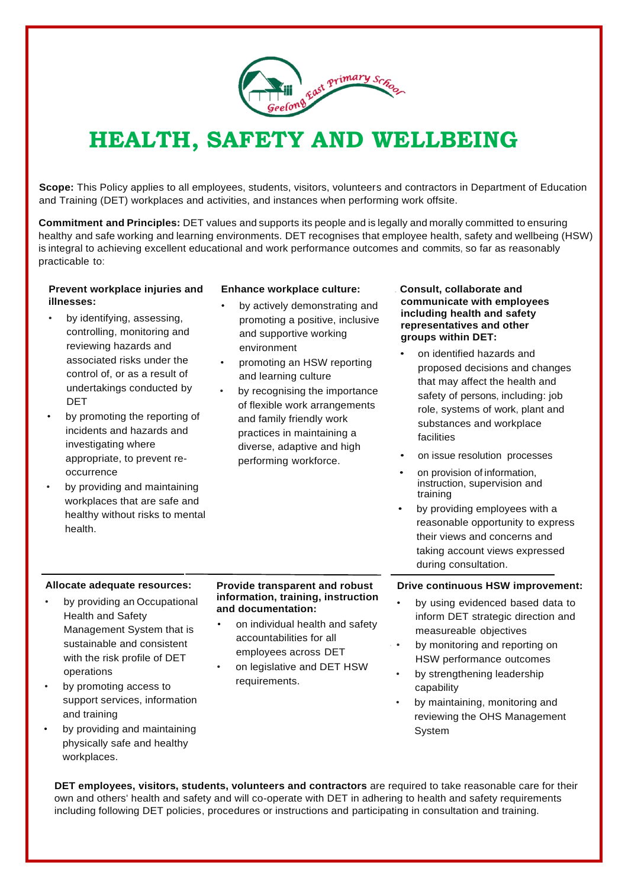

# **HEALTH, SAFETY AND WELLBEING**

**Scope:** This Policy applies to all employees, students, visitors, volunteers and contractors in Department of Education and Training (DET) workplaces and activities, and instances when performing work offsite.

**Commitment and Principles:** DET values and supports its people and is legally and morally committed to ensuring healthy and safe working and learning environments. DET recognises that employee health, safety and wellbeing (HSW) is integral to achieving excellent educational and work performance outcomes and commits, so far as reasonably practicable to:

### **Prevent workplace injuries and illnesses:**

- by identifying, assessing, controlling, monitoring and reviewing hazards and associated risks under the control of, or as a result of undertakings conducted by DET
- by promoting the reporting of incidents and hazards and investigating where appropriate, to prevent reoccurrence
- by providing and maintaining workplaces that are safe and healthy without risks to mental health.

## **Enhance workplace culture:**

- by actively demonstrating and promoting a positive, inclusive and supportive working environment
- promoting an HSW reporting and learning culture
- by recognising the importance of flexible work arrangements and family friendly work practices in maintaining a diverse, adaptive and high performing workforce.

#### . **Consult, collaborate and communicate with employees including health and safety representatives and other groups within DET:**

- on identified hazards and proposed decisions and changes that may affect the health and safety of persons, including: job role, systems of work, plant and substances and workplace facilities
- on issue resolution processes
- on provision of information, instruction, supervision and training
- by providing employees with a reasonable opportunity to express their views and concerns and taking account views expressed during consultation.

## **Allocate adequate resources:**

- by providing an Occupational Health and Safety Management System that is sustainable and consistent with the risk profile of DET operations
- by promoting access to support services, information and training
- by providing and maintaining physically safe and healthy workplaces.

#### **Provide transparent and robust information, training, instruction and documentation:**

- on individual health and safety accountabilities for all employees across DET
- on legislative and DET HSW requirements.

## **Drive continuous HSW improvement:**

- by using evidenced based data to inform DET strategic direction and measureable objectives
- by monitoring and reporting on HSW performance outcomes
- by strengthening leadership capability
- by maintaining, monitoring and reviewing the OHS Management System

**DET employees, visitors, students, volunteers and contractors** are required to take reasonable care for their own and others' health and safety and will co-operate with DET in adhering to health and safety requirements including following DET policies, procedures or instructions and participating in consultation and training.